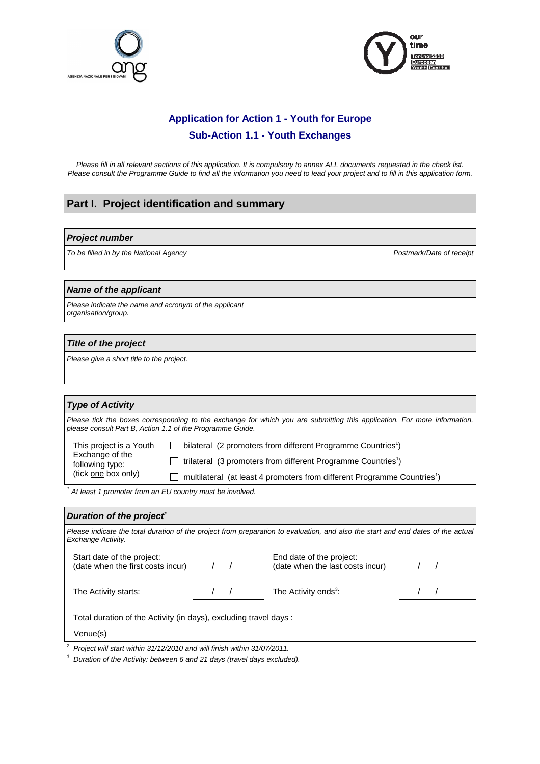



## **Application for Action 1 - Youth for Europe Sub-Action 1.1 - Youth Exchanges**

Please fill in all relevant sections of this application. It is compulsory to annex ALL documents requested in the check list. Please consult the Programme Guide to find all the information you need to lead your project and to fill in this application form.

## **Part I. Project identification and summary**

# **Project number**  To be filled in by the National Agency example of receipt  $\vert$  example  $\vert$  Postmark/Date of receipt

#### **Name of the applicant**

Please indicate the name and acronym of the applicant organisation/group.

#### **Title of the project**

Please give a short title to the project.

| <b>Type of Activity</b>                                       |                                                                                                                          |  |
|---------------------------------------------------------------|--------------------------------------------------------------------------------------------------------------------------|--|
| please consult Part B, Action 1.1 of the Programme Guide.     | Please tick the boxes corresponding to the exchange for which you are submitting this application. For more information, |  |
| This project is a Youth<br>Exchange of the<br>following type: | bilateral (2 promoters from different Programme Countries <sup>1</sup> )                                                 |  |
|                                                               | trilateral (3 promoters from different Programme Countries <sup>1</sup> )                                                |  |
| (tick one box only)                                           | multilateral (at least 4 promoters from different Programme Countries <sup>1</sup> )                                     |  |

 $1$  At least 1 promoter from an EU country must be involved.

| Duration of the project <sup>2</sup>                                    |  |                                                                                                                                  |  |
|-------------------------------------------------------------------------|--|----------------------------------------------------------------------------------------------------------------------------------|--|
| Exchange Activity.                                                      |  | Please indicate the total duration of the project from preparation to evaluation, and also the start and end dates of the actual |  |
| Start date of the project:<br>(date when the first costs incur)         |  | End date of the project:<br>(date when the last costs incur)                                                                     |  |
| The Activity starts:                                                    |  | The Activity ends <sup>3</sup> :                                                                                                 |  |
| Total duration of the Activity (in days), excluding travel days :       |  |                                                                                                                                  |  |
| Venue(s)                                                                |  |                                                                                                                                  |  |
| Project will start within 31/12/2010 and will finish within 31/07/2011. |  |                                                                                                                                  |  |

 $3$  Duration of the Activity: between 6 and 21 days (travel days excluded).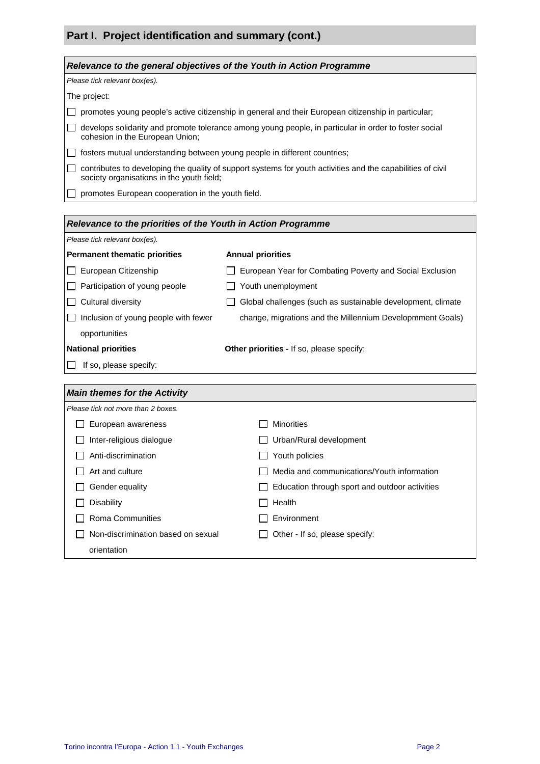## **Part I. Project identification and summary (cont.)**

| Relevance to the general objectives of the Youth in Action Programme                                                                                     |  |  |
|----------------------------------------------------------------------------------------------------------------------------------------------------------|--|--|
| Please tick relevant box(es).                                                                                                                            |  |  |
| The project:                                                                                                                                             |  |  |
| promotes young people's active citizenship in general and their European citizenship in particular;                                                      |  |  |
| develops solidarity and promote tolerance among young people, in particular in order to foster social<br>cohesion in the European Union;                 |  |  |
| fosters mutual understanding between young people in different countries;                                                                                |  |  |
| contributes to developing the quality of support systems for youth activities and the capabilities of civil<br>society organisations in the youth field; |  |  |
| promotes European cooperation in the youth field.                                                                                                        |  |  |
|                                                                                                                                                          |  |  |
| Relevance to the priorities of the Youth in Action Programme                                                                                             |  |  |
| Please tick relevant box(es).                                                                                                                            |  |  |
| <b>Annual priorities</b><br><b>Permanent thematic priorities</b>                                                                                         |  |  |

| European Citizenship                 | European Year for Combating Poverty and Social Exclusion    |
|--------------------------------------|-------------------------------------------------------------|
| Participation of young people        | Youth unemployment                                          |
| Cultural diversity                   | Global challenges (such as sustainable development, climate |
| Inclusion of young people with fewer | change, migrations and the Millennium Developmment Goals)   |
| opportunities                        |                                                             |
| <b>National priorities</b>           | Other priorities - If so, please specify:                   |
| If so, please specify:               |                                                             |
|                                      |                                                             |
|                                      |                                                             |
| <b>Main themes for the Activity</b>  |                                                             |
| Please tick not more than 2 boxes.   |                                                             |
| European awareness                   | <b>Minorities</b>                                           |
| Inter-religious dialogue             | Urban/Rural development                                     |
| Anti-discrimination                  | Youth policies                                              |
| Art and culture                      | Media and communications/Youth information                  |
| Gender equality                      | Education through sport and outdoor activities              |

 $\Box$  Other - If so, please specify:

□ Non-discrimination based on sexual

orientation

Environment Environment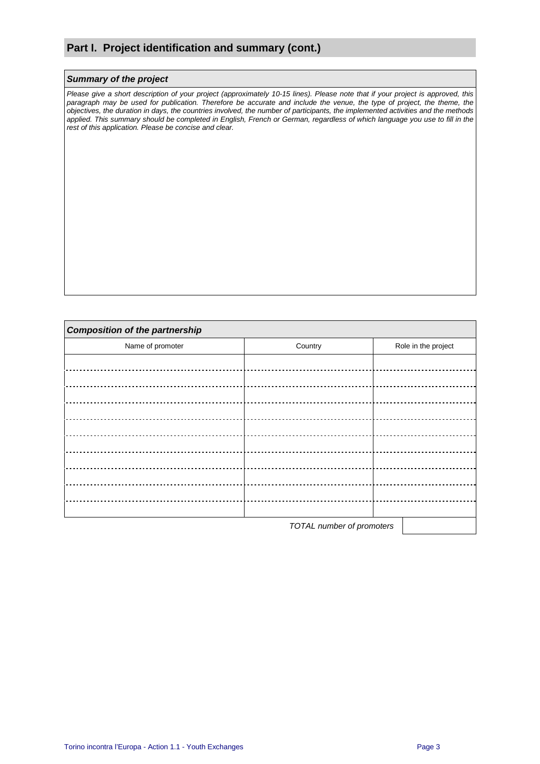## **Part I. Project identification and summary (cont.)**

#### **Summary of the project**

Please give a short description of your project (approximately 10-15 lines). Please note that if your project is approved, this paragraph may be used for publication. Therefore be accurate and include the venue, the type of project, the theme, the objectives, the duration in days, the countries involved, the number of participants, the implemented activities and the methods applied. This summary should be completed in English, French or German, regardless of which language you use to fill in the rest of this application. Please be concise and clear.

| <b>Composition of the partnership</b> |                           |                     |
|---------------------------------------|---------------------------|---------------------|
| Name of promoter                      | Country                   | Role in the project |
|                                       |                           |                     |
|                                       |                           |                     |
|                                       |                           |                     |
|                                       |                           |                     |
|                                       |                           |                     |
|                                       |                           |                     |
|                                       |                           |                     |
|                                       |                           |                     |
|                                       |                           |                     |
|                                       |                           |                     |
|                                       | TOTAL number of promoters |                     |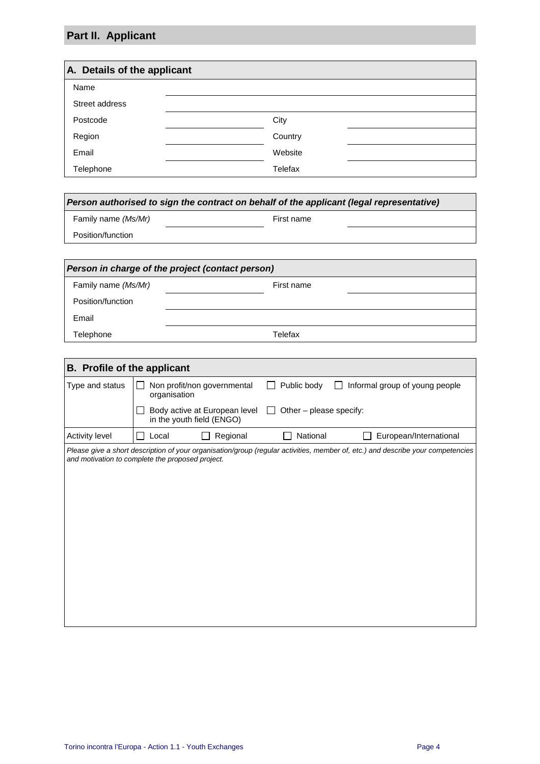# **Part II. Applicant**

| A. Details of the applicant |         |  |
|-----------------------------|---------|--|
| Name                        |         |  |
| Street address              |         |  |
| Postcode                    | City    |  |
| Region                      | Country |  |
| Email                       | Website |  |
| Telephone                   | Telefax |  |

| Person authorised to sign the contract on behalf of the applicant (legal representative) |            |  |
|------------------------------------------------------------------------------------------|------------|--|
| Family name (Ms/Mr)                                                                      | First name |  |
| Position/function                                                                        |            |  |
|                                                                                          |            |  |

| Person in charge of the project (contact person) |            |  |
|--------------------------------------------------|------------|--|
| Family name (Ms/Mr)                              | First name |  |
| Position/function                                |            |  |
| Email                                            |            |  |
| Telephone                                        | Telefax    |  |

| <b>B.</b> Profile of the applicant |                                                                                                                                                                                     |  |
|------------------------------------|-------------------------------------------------------------------------------------------------------------------------------------------------------------------------------------|--|
| Type and status                    | Non profit/non governmental<br>Public body<br>Informal group of young people<br>organisation                                                                                        |  |
|                                    | Body active at European level<br>Other - please specify:<br>$\mathbf{L}$<br>in the youth field (ENGO)                                                                               |  |
| Activity level                     | European/International<br>Local<br>Regional<br>National                                                                                                                             |  |
|                                    | Please give a short description of your organisation/group (regular activities, member of, etc.) and describe your competencies<br>and motivation to complete the proposed project. |  |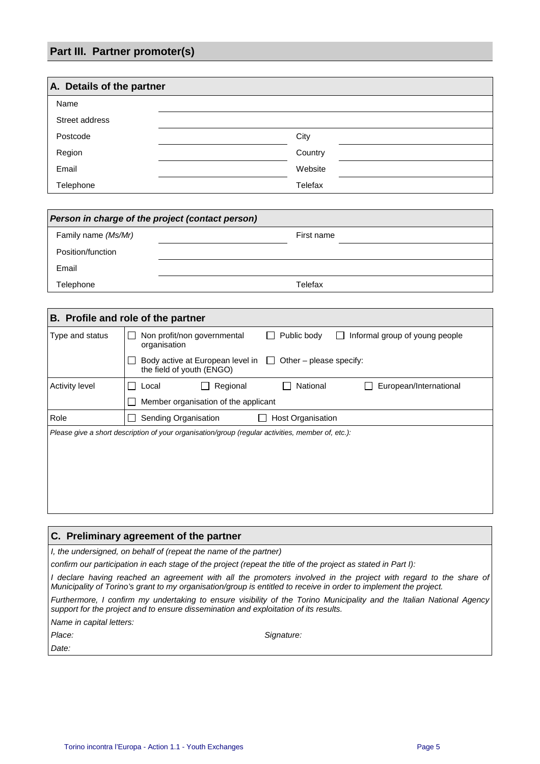## **Part III. Partner promoter(s)**

| A. Details of the partner |         |  |
|---------------------------|---------|--|
| Name                      |         |  |
| Street address            |         |  |
| Postcode                  | City    |  |
| Region                    | Country |  |
| Email                     | Website |  |
| Telephone                 | Telefax |  |

| Person in charge of the project (contact person) |            |  |
|--------------------------------------------------|------------|--|
| Family name (Ms/Mr)                              | First name |  |
| Position/function                                |            |  |
| Email                                            |            |  |
| Telephone                                        | Telefax    |  |

| B. Profile and role of the partner                                                                |                                                                                              |  |
|---------------------------------------------------------------------------------------------------|----------------------------------------------------------------------------------------------|--|
| Type and status                                                                                   | Non profit/non governmental<br>Public body<br>Informal group of young people<br>organisation |  |
|                                                                                                   | Body active at European level in $\Box$ Other – please specify:<br>the field of youth (ENGO) |  |
| <b>Activity level</b>                                                                             | National<br>Regional<br>European/International<br>Local                                      |  |
|                                                                                                   | Member organisation of the applicant                                                         |  |
| Role                                                                                              | Sending Organisation<br>Host Organisation                                                    |  |
| Please give a short description of your organisation/group (regular activities, member of, etc.): |                                                                                              |  |
|                                                                                                   |                                                                                              |  |
|                                                                                                   |                                                                                              |  |
|                                                                                                   |                                                                                              |  |
|                                                                                                   |                                                                                              |  |
|                                                                                                   |                                                                                              |  |

#### **C. Preliminary agreement of the partner**

I, the undersigned, on behalf of (repeat the name of the partner)

confirm our participation in each stage of the project (repeat the title of the project as stated in Part I):

I declare having reached an agreement with all the promoters involved in the project with regard to the share of Municipality of Torino's grant to my organisation/group is entitled to receive in order to implement the project.

Furthermore, I confirm my undertaking to ensure visibility of the Torino Municipality and the Italian National Agency support for the project and to ensure dissemination and exploitation of its results.

Name in capital letters:

Date:

Place: Signature: Signature: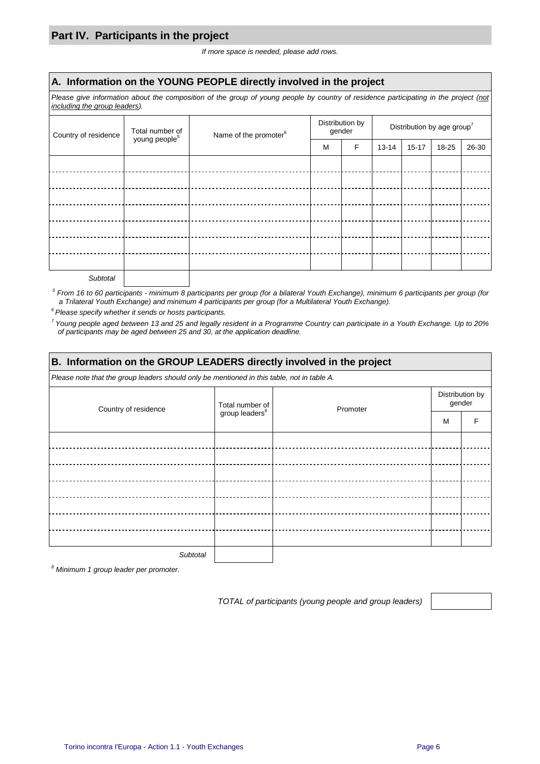## **Part IV. Participants in the project**

If more space is needed, please add rows.

#### **A. Information on the YOUNG PEOPLE directly involved in the project**

Please give information about the composition of the group of young people by country of residence participating in the project (not including the group leaders).

| Total number of<br>young people <sup>5</sup><br>Name of the promoter <sup>6</sup><br>Country of residence |   |   | Distribution by<br>gender |           | Distribution by age group <sup>7</sup> |       |  |  |
|-----------------------------------------------------------------------------------------------------------|---|---|---------------------------|-----------|----------------------------------------|-------|--|--|
|                                                                                                           | M | F | 13-14                     | $15 - 17$ | 18-25                                  | 26-30 |  |  |
|                                                                                                           |   |   |                           |           |                                        |       |  |  |
|                                                                                                           |   |   |                           |           |                                        |       |  |  |
|                                                                                                           |   |   |                           |           |                                        |       |  |  |
|                                                                                                           |   |   |                           |           |                                        |       |  |  |
|                                                                                                           |   |   |                           |           |                                        |       |  |  |
|                                                                                                           |   |   |                           |           |                                        |       |  |  |
|                                                                                                           |   |   |                           |           |                                        |       |  |  |
|                                                                                                           |   |   |                           |           |                                        |       |  |  |

**Subtotal** 

 $^5$  From 16 to 60 participants - minimum 8 participants per group (for a bilateral Youth Exchange), minimum 6 participants per group (for a Trilateral Youth Exchange) and minimum 4 participants per group (for a Multilateral Youth Exchange).

 $6$  Please specify whether it sends or hosts participants.

<sup>7</sup> Young people aged between 13 and 25 and legally resident in a Programme Country can participate in a Youth Exchange. Up to 20% of participants may be aged between 25 and 30, at the application deadline.

| B. Information on the GROUP LEADERS directly involved in the project                       |                            |          |                           |  |  |  |  |
|--------------------------------------------------------------------------------------------|----------------------------|----------|---------------------------|--|--|--|--|
| Please note that the group leaders should only be mentioned in this table, not in table A. |                            |          |                           |  |  |  |  |
| Country of residence                                                                       | Total number of            | Promoter | Distribution by<br>gender |  |  |  |  |
|                                                                                            | group leaders <sup>8</sup> |          | м                         |  |  |  |  |
|                                                                                            |                            |          |                           |  |  |  |  |
|                                                                                            |                            |          |                           |  |  |  |  |
|                                                                                            |                            |          |                           |  |  |  |  |
|                                                                                            |                            |          |                           |  |  |  |  |
|                                                                                            |                            |          |                           |  |  |  |  |
|                                                                                            |                            |          |                           |  |  |  |  |
|                                                                                            |                            |          |                           |  |  |  |  |
| Subtotal                                                                                   |                            |          |                           |  |  |  |  |

<sup>8</sup> Minimum 1 group leader per promoter.

TOTAL of participants (young people and group leaders)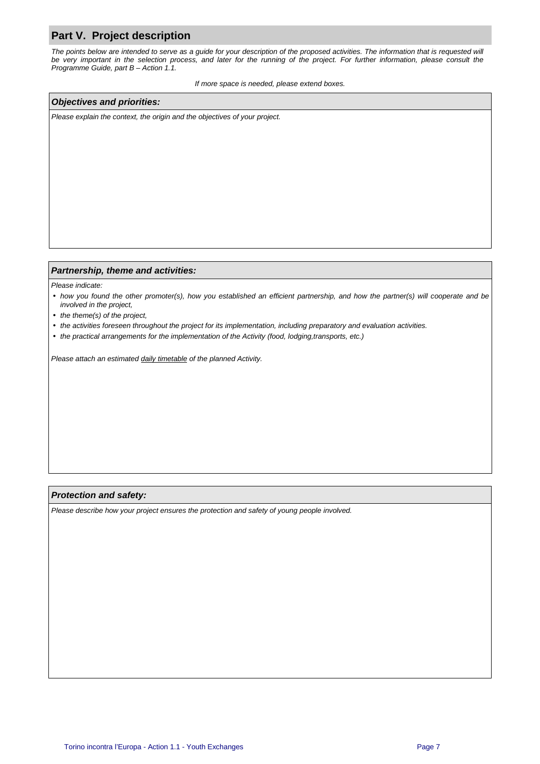## **Part V. Project description**

The points below are intended to serve as a guide for your description of the proposed activities. The information that is requested will be very important in the selection process, and later for the running of the project. For further information, please consult the Programme Guide, part B – Action 1.1.

If more space is needed, please extend boxes.

#### **Objectives and priorities:**

Please explain the context, the origin and the objectives of your project.

#### **Partnership, theme and activities:**

Please indicate:

- how you found the other promoter(s), how you established an efficient partnership, and how the partner(s) will cooperate and be involved in the project,
- the theme(s) of the project,
- the activities foreseen throughout the project for its implementation, including preparatory and evaluation activities.
- the practical arrangements for the implementation of the Activity (food, lodging,transports, etc.)

Please attach an estimated daily timetable of the planned Activity.

#### **Protection and safety:**

Please describe how your project ensures the protection and safety of young people involved.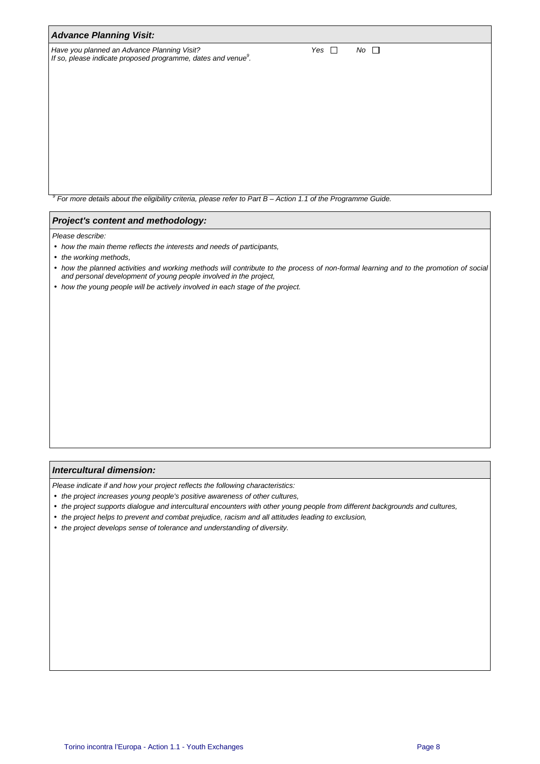| <b>Advance Planning Visit:</b>                                                                                           |                           |  |  |  |  |  |  |
|--------------------------------------------------------------------------------------------------------------------------|---------------------------|--|--|--|--|--|--|
| Have you planned an Advance Planning Visit?<br>If so, please indicate proposed programme, dates and venue <sup>9</sup> . | $No$ $\Box$<br>Yes $\Box$ |  |  |  |  |  |  |
|                                                                                                                          |                           |  |  |  |  |  |  |
|                                                                                                                          |                           |  |  |  |  |  |  |
|                                                                                                                          |                           |  |  |  |  |  |  |
|                                                                                                                          |                           |  |  |  |  |  |  |

 $9$  For more details about the eligibility criteria, please refer to Part B – Action 1.1 of the Programme Guide.

#### **Project's content and methodology:**

Please describe:

- how the main theme reflects the interests and needs of participants,
- the working methods,
- how the planned activities and working methods will contribute to the process of non-formal learning and to the promotion of social and personal development of young people involved in the project,
- how the young people will be actively involved in each stage of the project.

#### **Intercultural dimension:**

Please indicate if and how your project reflects the following characteristics:

- the project increases young people's positive awareness of other cultures,
- the project supports dialogue and intercultural encounters with other young people from different backgrounds and cultures,
- the project helps to prevent and combat prejudice, racism and all attitudes leading to exclusion,
- the project develops sense of tolerance and understanding of diversity.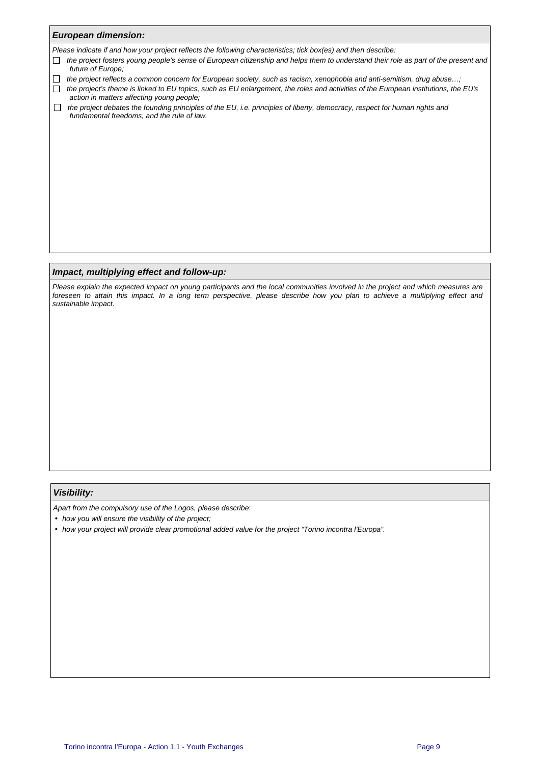| <b>European dimension:</b>                                                                                                                                                                 |  |  |  |  |  |  |  |
|--------------------------------------------------------------------------------------------------------------------------------------------------------------------------------------------|--|--|--|--|--|--|--|
| Please indicate if and how your project reflects the following characteristics; tick box(es) and then describe:                                                                            |  |  |  |  |  |  |  |
| the project fosters young people's sense of European citizenship and helps them to understand their role as part of the present and<br>future of Europe;                                   |  |  |  |  |  |  |  |
| the project reflects a common concern for European society, such as racism, xenophobia and anti-semitism, drug abuse;                                                                      |  |  |  |  |  |  |  |
| the project's theme is linked to EU topics, such as EU enlargement, the roles and activities of the European institutions, the EU's<br>$\Box$<br>action in matters affecting young people; |  |  |  |  |  |  |  |
| the project debates the founding principles of the EU, i.e. principles of liberty, democracy, respect for human rights and<br>$\Box$<br>fundamental freedoms, and the rule of law.         |  |  |  |  |  |  |  |
|                                                                                                                                                                                            |  |  |  |  |  |  |  |
|                                                                                                                                                                                            |  |  |  |  |  |  |  |
|                                                                                                                                                                                            |  |  |  |  |  |  |  |
|                                                                                                                                                                                            |  |  |  |  |  |  |  |
|                                                                                                                                                                                            |  |  |  |  |  |  |  |
|                                                                                                                                                                                            |  |  |  |  |  |  |  |
|                                                                                                                                                                                            |  |  |  |  |  |  |  |
|                                                                                                                                                                                            |  |  |  |  |  |  |  |
|                                                                                                                                                                                            |  |  |  |  |  |  |  |
|                                                                                                                                                                                            |  |  |  |  |  |  |  |
|                                                                                                                                                                                            |  |  |  |  |  |  |  |

#### **Impact, multiplying effect and follow-up:**

Please explain the expected impact on young participants and the local communities involved in the project and which measures are foreseen to attain this impact. In a long term perspective, please describe how you plan to achieve a multiplying effect and sustainable impact.

#### **Visibility:**

Apart from the compulsory use of the Logos, please describe:

- how you will ensure the visibility of the project;
- how your project will provide clear promotional added value for the project "Torino incontra l'Europa".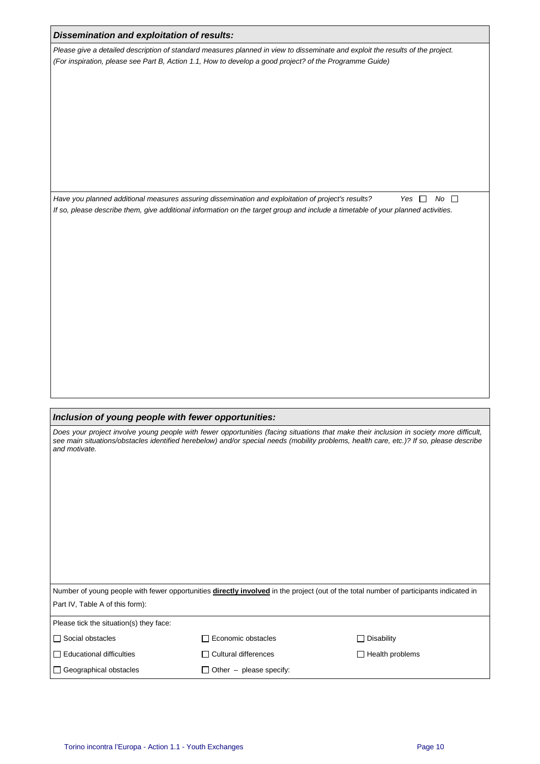|                                                                                                                                                                        | Please give a detailed description of standard measures planned in view to disseminate and exploit the results of the project.                                                                                                         |                                                                                                                                                                                                                                                                                                         |
|------------------------------------------------------------------------------------------------------------------------------------------------------------------------|----------------------------------------------------------------------------------------------------------------------------------------------------------------------------------------------------------------------------------------|---------------------------------------------------------------------------------------------------------------------------------------------------------------------------------------------------------------------------------------------------------------------------------------------------------|
|                                                                                                                                                                        | (For inspiration, please see Part B, Action 1.1, How to develop a good project? of the Programme Guide)                                                                                                                                |                                                                                                                                                                                                                                                                                                         |
|                                                                                                                                                                        |                                                                                                                                                                                                                                        |                                                                                                                                                                                                                                                                                                         |
|                                                                                                                                                                        |                                                                                                                                                                                                                                        |                                                                                                                                                                                                                                                                                                         |
|                                                                                                                                                                        | Have you planned additional measures assuring dissemination and exploitation of project's results?<br>If so, please describe them, give additional information on the target group and include a timetable of your planned activities. | $No$ $\Box$<br>Yes $\Box$                                                                                                                                                                                                                                                                               |
|                                                                                                                                                                        |                                                                                                                                                                                                                                        |                                                                                                                                                                                                                                                                                                         |
|                                                                                                                                                                        |                                                                                                                                                                                                                                        |                                                                                                                                                                                                                                                                                                         |
|                                                                                                                                                                        |                                                                                                                                                                                                                                        |                                                                                                                                                                                                                                                                                                         |
|                                                                                                                                                                        |                                                                                                                                                                                                                                        |                                                                                                                                                                                                                                                                                                         |
|                                                                                                                                                                        |                                                                                                                                                                                                                                        |                                                                                                                                                                                                                                                                                                         |
|                                                                                                                                                                        |                                                                                                                                                                                                                                        |                                                                                                                                                                                                                                                                                                         |
|                                                                                                                                                                        |                                                                                                                                                                                                                                        |                                                                                                                                                                                                                                                                                                         |
|                                                                                                                                                                        |                                                                                                                                                                                                                                        |                                                                                                                                                                                                                                                                                                         |
|                                                                                                                                                                        |                                                                                                                                                                                                                                        |                                                                                                                                                                                                                                                                                                         |
|                                                                                                                                                                        |                                                                                                                                                                                                                                        |                                                                                                                                                                                                                                                                                                         |
|                                                                                                                                                                        |                                                                                                                                                                                                                                        | Number of young people with fewer opportunities directly involved in the project (out of the total number of participants indicated in                                                                                                                                                                  |
| Inclusion of young people with fewer opportunities:<br>and motivate.<br>Part IV, Table A of this form):<br>Please tick the situation(s) they face:<br>Social obstacles | $\Box$ Economic obstacles                                                                                                                                                                                                              | Does your project involve young people with fewer opportunities (facing situations that make their inclusion in society more difficult,<br>see main situations/obstacles identified herebelow) and/or special needs (mobility problems, health care, etc.)? If so, please describe<br>$\Box$ Disability |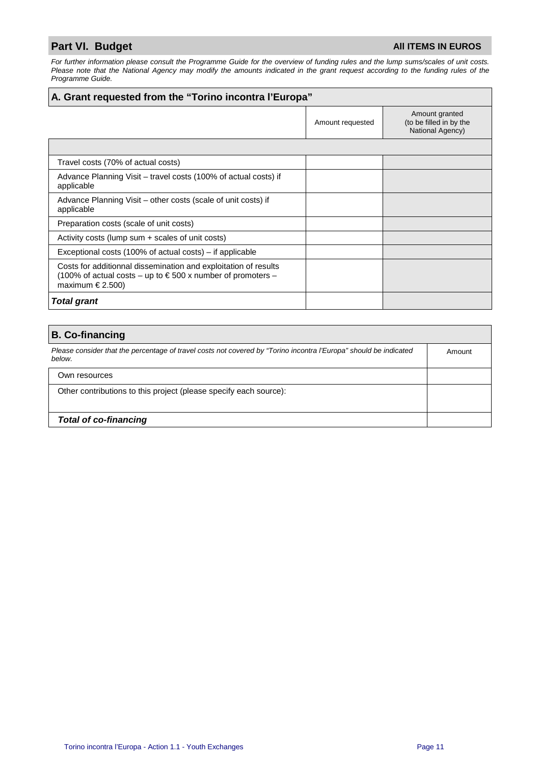## **Part VI. Budget All ITEMS IN EUROS**

For further information please consult the Programme Guide for the overview of funding rules and the lump sums/scales of unit costs. Please note that the National Agency may modify the amounts indicated in the grant request according to the funding rules of the Programme Guide.

| A. Grant requested from the "Torino incontra l'Europa"                                                                                                          |                  |                                                               |  |  |  |  |
|-----------------------------------------------------------------------------------------------------------------------------------------------------------------|------------------|---------------------------------------------------------------|--|--|--|--|
|                                                                                                                                                                 | Amount requested | Amount granted<br>(to be filled in by the<br>National Agency) |  |  |  |  |
|                                                                                                                                                                 |                  |                                                               |  |  |  |  |
| Travel costs (70% of actual costs)                                                                                                                              |                  |                                                               |  |  |  |  |
| Advance Planning Visit – travel costs (100% of actual costs) if<br>applicable                                                                                   |                  |                                                               |  |  |  |  |
| Advance Planning Visit – other costs (scale of unit costs) if<br>applicable                                                                                     |                  |                                                               |  |  |  |  |
| Preparation costs (scale of unit costs)                                                                                                                         |                  |                                                               |  |  |  |  |
| Activity costs (lump sum + scales of unit costs)                                                                                                                |                  |                                                               |  |  |  |  |
| Exceptional costs (100% of actual costs) – if applicable                                                                                                        |                  |                                                               |  |  |  |  |
| Costs for additionnal dissemination and exploitation of results<br>(100% of actual costs – up to $\epsilon$ 500 x number of promoters –<br>maximum $\in$ 2.500) |                  |                                                               |  |  |  |  |
| <b>Total grant</b>                                                                                                                                              |                  |                                                               |  |  |  |  |

| <b>B. Co-financing</b>                                                                                                      |        |
|-----------------------------------------------------------------------------------------------------------------------------|--------|
| Please consider that the percentage of travel costs not covered by "Torino incontra l'Europa" should be indicated<br>below. | Amount |
| Own resources                                                                                                               |        |
| Other contributions to this project (please specify each source):                                                           |        |
| <b>Total of co-financing</b>                                                                                                |        |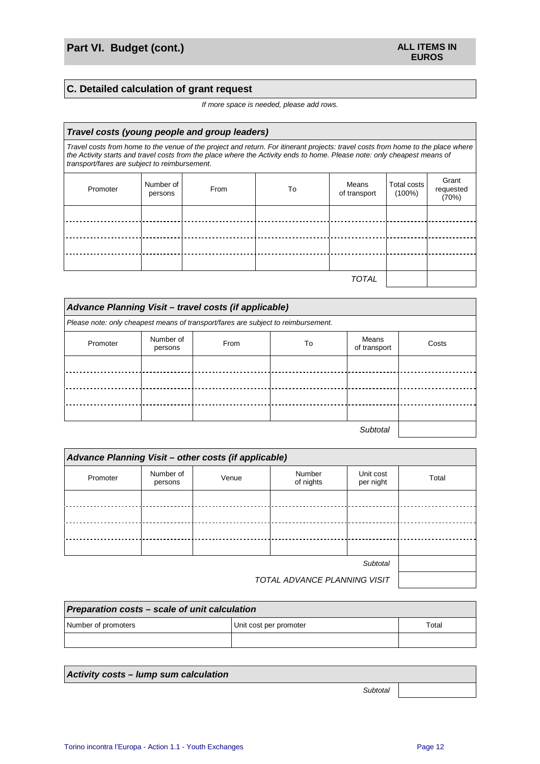## **C. Detailed calculation of grant request**

#### If more space is needed, please add rows.

| Travel costs (young people and group leaders)                                                                                                                                                                                                                                                                 |                      |      |    |                       |                          |                             |
|---------------------------------------------------------------------------------------------------------------------------------------------------------------------------------------------------------------------------------------------------------------------------------------------------------------|----------------------|------|----|-----------------------|--------------------------|-----------------------------|
| Travel costs from home to the venue of the project and return. For itinerant projects: travel costs from home to the place where<br>the Activity starts and travel costs from the place where the Activity ends to home. Please note: only cheapest means of<br>transport/fares are subject to reimbursement. |                      |      |    |                       |                          |                             |
| Promoter                                                                                                                                                                                                                                                                                                      | Number of<br>persons | From | To | Means<br>of transport | Total costs<br>$(100\%)$ | Grant<br>requested<br>(70%) |
|                                                                                                                                                                                                                                                                                                               |                      |      |    |                       |                          |                             |
|                                                                                                                                                                                                                                                                                                               |                      |      |    |                       |                          |                             |
|                                                                                                                                                                                                                                                                                                               |                      |      |    |                       |                          |                             |
|                                                                                                                                                                                                                                                                                                               |                      |      |    |                       |                          |                             |
|                                                                                                                                                                                                                                                                                                               |                      |      |    | TOTAL                 |                          |                             |

| Advance Planning Visit - travel costs (if applicable)                             |                      |      |    |                       |       |  |  |  |
|-----------------------------------------------------------------------------------|----------------------|------|----|-----------------------|-------|--|--|--|
| Please note: only cheapest means of transport/fares are subject to reimbursement. |                      |      |    |                       |       |  |  |  |
| Promoter                                                                          | Number of<br>persons | From | To | Means<br>of transport | Costs |  |  |  |
|                                                                                   |                      |      |    |                       |       |  |  |  |
|                                                                                   |                      |      |    |                       |       |  |  |  |
|                                                                                   |                      |      |    |                       |       |  |  |  |
|                                                                                   |                      |      |    |                       |       |  |  |  |
| Subtotal                                                                          |                      |      |    |                       |       |  |  |  |

| Advance Planning Visit - other costs (if applicable) |                      |       |                     |                        |       |  |
|------------------------------------------------------|----------------------|-------|---------------------|------------------------|-------|--|
| Promoter                                             | Number of<br>persons | Venue | Number<br>of nights | Unit cost<br>per night | Total |  |
|                                                      |                      |       |                     |                        |       |  |
|                                                      |                      |       |                     |                        |       |  |
|                                                      |                      |       |                     |                        |       |  |
|                                                      |                      |       |                     |                        |       |  |
|                                                      |                      |       |                     |                        |       |  |
| TOTAL ADVANCE PLANNING VISIT                         |                      |       |                     |                        |       |  |

| Preparation costs - scale of unit calculation          |  |  |  |  |  |  |
|--------------------------------------------------------|--|--|--|--|--|--|
| Number of promoters<br>Unit cost per promoter<br>Total |  |  |  |  |  |  |
|                                                        |  |  |  |  |  |  |

| Activity costs – lump sum calculation |  |
|---------------------------------------|--|
| Subtotal                              |  |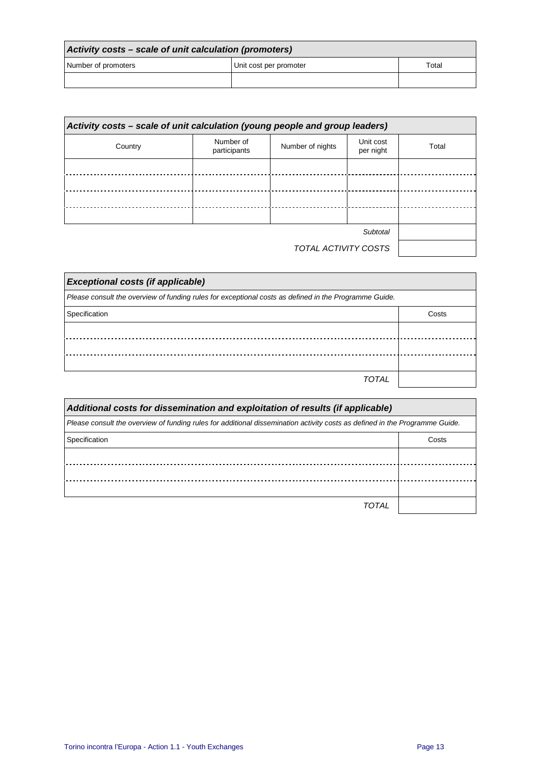| Activity costs – scale of unit calculation (promoters) |                        |       |
|--------------------------------------------------------|------------------------|-------|
| Number of promoters                                    | Unit cost per promoter | Total |
|                                                        |                        |       |

| Activity costs - scale of unit calculation (young people and group leaders) |                           |                      |                        |       |
|-----------------------------------------------------------------------------|---------------------------|----------------------|------------------------|-------|
| Country                                                                     | Number of<br>participants | Number of nights     | Unit cost<br>per night | Total |
|                                                                             |                           |                      |                        |       |
|                                                                             |                           |                      |                        |       |
|                                                                             |                           |                      |                        |       |
|                                                                             |                           |                      |                        |       |
|                                                                             |                           |                      | Subtotal               |       |
|                                                                             |                           | TOTAL ACTIVITY COSTS |                        |       |

| <b>Exceptional costs (if applicable)</b>                                                              |       |
|-------------------------------------------------------------------------------------------------------|-------|
| Please consult the overview of funding rules for exceptional costs as defined in the Programme Guide. |       |
| Specification                                                                                         | Costs |
|                                                                                                       |       |
|                                                                                                       |       |
|                                                                                                       |       |
| <b>TOTAL</b>                                                                                          |       |

| Additional costs for dissemination and exploitation of results (if applicable)                                              |       |
|-----------------------------------------------------------------------------------------------------------------------------|-------|
| Please consult the overview of funding rules for additional dissemination activity costs as defined in the Programme Guide. |       |
| Specification                                                                                                               | Costs |
|                                                                                                                             |       |
|                                                                                                                             |       |
|                                                                                                                             |       |
| TOTAL                                                                                                                       |       |

J.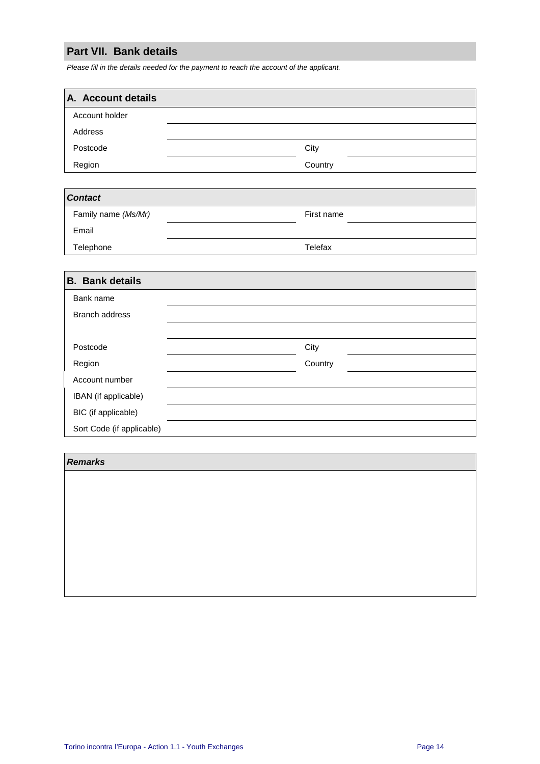## **Part VII. Bank details**

Please fill in the details needed for the payment to reach the account of the applicant.

| A. Account details |         |
|--------------------|---------|
| Account holder     |         |
| Address            |         |
| Postcode           | City    |
| Region             | Country |

| <b>Contact</b>      |            |
|---------------------|------------|
| Family name (Ms/Mr) | First name |
| Email               |            |
| Telephone           | Telefax    |

| <b>B.</b> Bank details    |         |
|---------------------------|---------|
| Bank name                 |         |
| <b>Branch address</b>     |         |
|                           |         |
| Postcode                  | City    |
| Region                    | Country |
| Account number            |         |
| IBAN (if applicable)      |         |
| BIC (if applicable)       |         |
| Sort Code (if applicable) |         |

#### **Remarks**

| <b>Remarks</b> |  |  |
|----------------|--|--|
|                |  |  |
|                |  |  |
|                |  |  |
|                |  |  |
|                |  |  |
|                |  |  |
|                |  |  |
|                |  |  |
|                |  |  |
|                |  |  |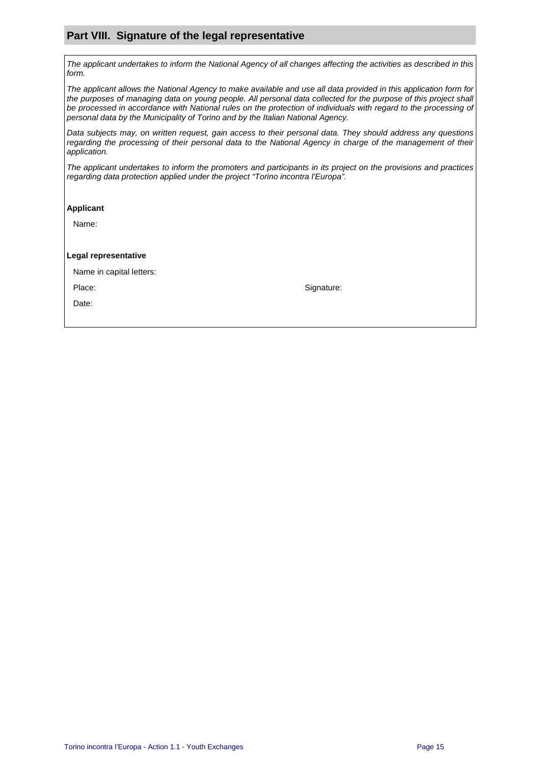## **Part VIII. Signature of the legal representative**

The applicant undertakes to inform the National Agency of all changes affecting the activities as described in this form.

The applicant allows the National Agency to make available and use all data provided in this application form for the purposes of managing data on young people. All personal data collected for the purpose of this project shall be processed in accordance with National rules on the protection of individuals with regard to the processing of personal data by the Municipality of Torino and by the Italian National Agency.

Data subjects may, on written request, gain access to their personal data. They should address any questions regarding the processing of their personal data to the National Agency in charge of the management of their application.

The applicant undertakes to inform the promoters and participants in its project on the provisions and practices regarding data protection applied under the project "Torino incontra l'Europa".

#### **Applicant**

Name:

#### **Legal representative**

Name in capital letters:

Place: Signature: Signature: Signature: Signature: Signature: Signature: Signature: Signature: Signature: Signature: Signature: Signature: Signature: Signature: Signature: Signature: Signature: Signature: Signature: Signat

Date: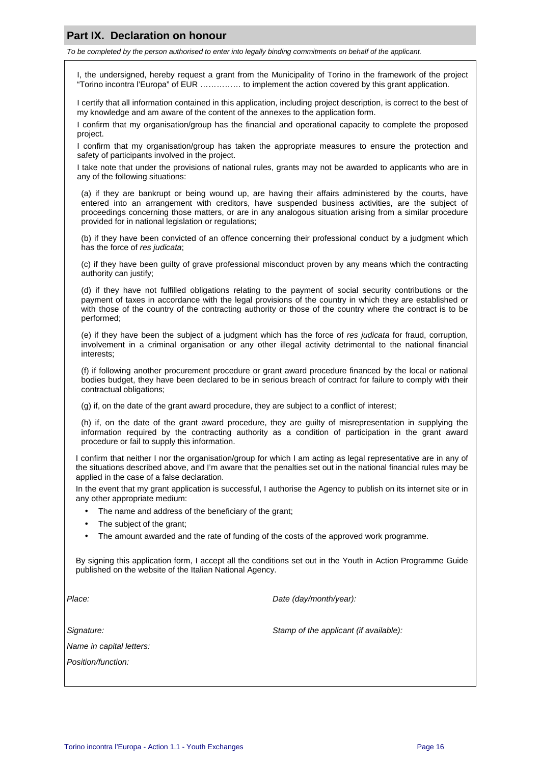### **Part IX. Declaration on honour**

To be completed by the person authorised to enter into legally binding commitments on behalf of the applicant.

I, the undersigned, hereby request a grant from the Municipality of Torino in the framework of the project "Torino incontra l'Europa" of EUR …………… to implement the action covered by this grant application.

I certify that all information contained in this application, including project description, is correct to the best of my knowledge and am aware of the content of the annexes to the application form.

I confirm that my organisation/group has the financial and operational capacity to complete the proposed project.

I confirm that my organisation/group has taken the appropriate measures to ensure the protection and safety of participants involved in the project.

I take note that under the provisions of national rules, grants may not be awarded to applicants who are in any of the following situations:

(a) if they are bankrupt or being wound up, are having their affairs administered by the courts, have entered into an arrangement with creditors, have suspended business activities, are the subject of proceedings concerning those matters, or are in any analogous situation arising from a similar procedure provided for in national legislation or regulations;

(b) if they have been convicted of an offence concerning their professional conduct by a judgment which has the force of res judicata;

(c) if they have been guilty of grave professional misconduct proven by any means which the contracting authority can justify;

(d) if they have not fulfilled obligations relating to the payment of social security contributions or the payment of taxes in accordance with the legal provisions of the country in which they are established or with those of the country of the contracting authority or those of the country where the contract is to be performed;

(e) if they have been the subject of a judgment which has the force of res judicata for fraud, corruption, involvement in a criminal organisation or any other illegal activity detrimental to the national financial interests;

(f) if following another procurement procedure or grant award procedure financed by the local or national bodies budget, they have been declared to be in serious breach of contract for failure to comply with their contractual obligations;

(g) if, on the date of the grant award procedure, they are subject to a conflict of interest;

(h) if, on the date of the grant award procedure, they are guilty of misrepresentation in supplying the information required by the contracting authority as a condition of participation in the grant award procedure or fail to supply this information.

I confirm that neither I nor the organisation/group for which I am acting as legal representative are in any of the situations described above, and I'm aware that the penalties set out in the national financial rules may be applied in the case of a false declaration.

In the event that my grant application is successful, I authorise the Agency to publish on its internet site or in any other appropriate medium:

- The name and address of the beneficiary of the grant;
- The subject of the grant;
- The amount awarded and the rate of funding of the costs of the approved work programme.

By signing this application form, I accept all the conditions set out in the Youth in Action Programme Guide published on the website of the Italian National Agency.

Place: Place: Place: Place: Place: Place: Place: Place: Place: Place: Place: Place: Place: Place: Place: Place: Place: Place: Place: Place: Place: Place: Place: Place: Place: Place: Place: Place: Place: Place: Place: Place

Name in capital letters:

Position/function:

Signature: Stamp of the applicant (if available):